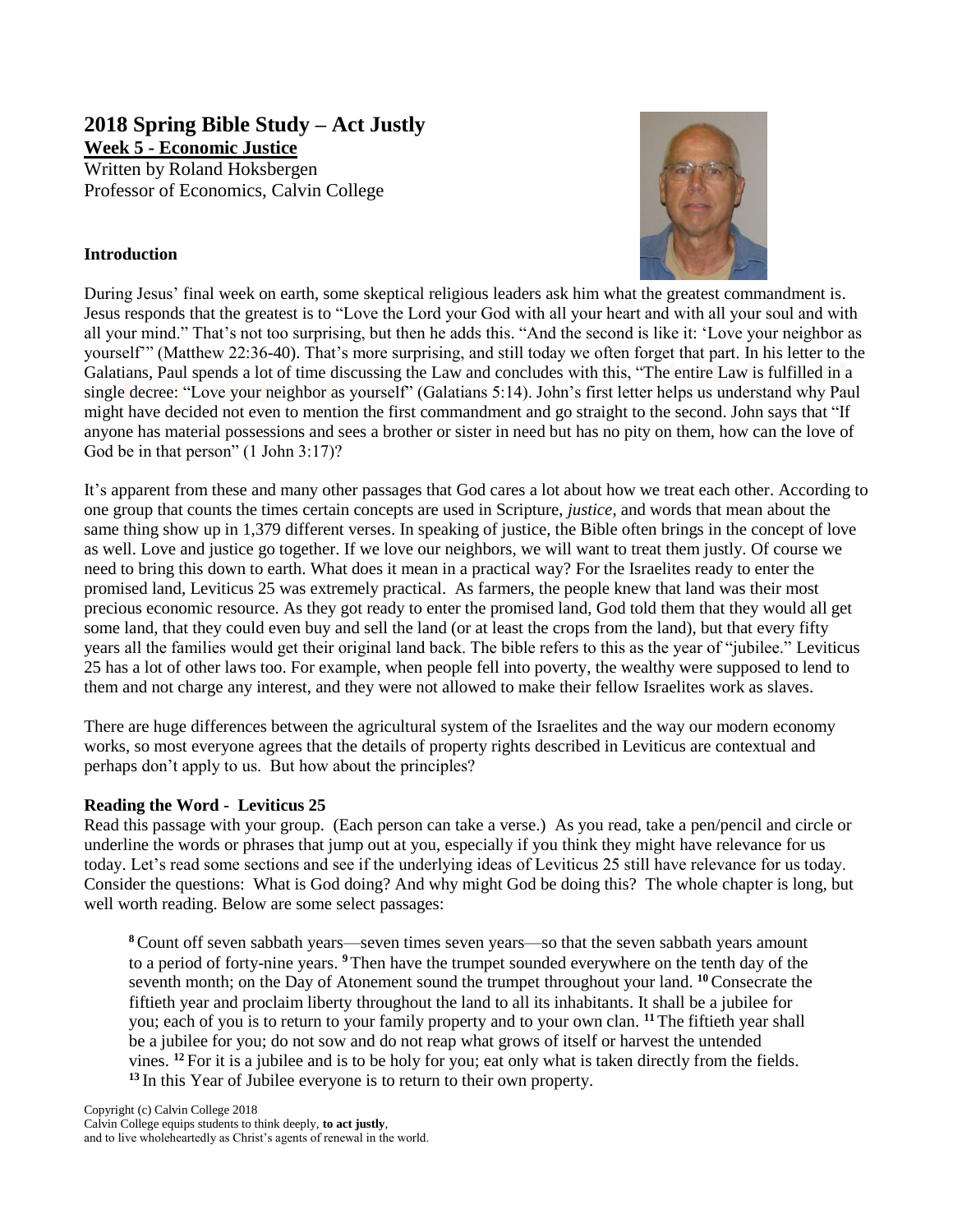**2018 Spring Bible Study – Act Justly Week 5 - Economic Justice** Written by Roland Hoksbergen Professor of Economics, Calvin College

## **Introduction**



During Jesus' final week on earth, some skeptical religious leaders ask him what the greatest commandment is. Jesus responds that the greatest is to "Love the Lord your God with all your heart and with all your soul and with all your mind." That's not too surprising, but then he adds this. "And the second is like it: 'Love your neighbor as yourself'" (Matthew 22:36-40). That's more surprising, and still today we often forget that part. In his letter to the Galatians, Paul spends a lot of time discussing the Law and concludes with this, ["The](http://biblehub.com/greek/3588.htm) [entire](http://biblehub.com/greek/3956.htm) [Law](http://biblehub.com/greek/3551.htm) [is fulfilled](http://biblehub.com/greek/4137.htm) [in](http://biblehub.com/greek/1722.htm) [a](http://biblehub.com/greek/1520.htm)  [single](http://biblehub.com/greek/1520.htm) [decree:](http://biblehub.com/greek/3056.htm) ["Love](http://biblehub.com/greek/25.htm) [your](http://biblehub.com/greek/4771.htm) [neighbor](http://biblehub.com/greek/4139.htm) [as](http://biblehub.com/greek/5613.htm) [yourself"](http://biblehub.com/greek/4572.htm) (Galatians 5:14). John's first letter helps us understand why Paul might have decided not even to mention the first commandment and go straight to the second. John says that "If anyone has material possessions and sees a brother or sister in need but has no pity on them, how can the love of God be in that person" (1 John 3:17)?

It's apparent from these and many other passages that God cares a lot about how we treat each other. According to one group that counts the times certain concepts are used in Scripture, *justice*, and words that mean about the same thing show up in 1,379 different verses. In speaking of justice, the Bible often brings in the concept of love as well. Love and justice go together. If we love our neighbors, we will want to treat them justly. Of course we need to bring this down to earth. What does it mean in a practical way? For the Israelites ready to enter the promised land, Leviticus 25 was extremely practical. As farmers, the people knew that land was their most precious economic resource. As they got ready to enter the promised land, God told them that they would all get some land, that they could even buy and sell the land (or at least the crops from the land), but that every fifty years all the families would get their original land back. The bible refers to this as the year of "jubilee." Leviticus 25 has a lot of other laws too. For example, when people fell into poverty, the wealthy were supposed to lend to them and not charge any interest, and they were not allowed to make their fellow Israelites work as slaves.

There are huge differences between the agricultural system of the Israelites and the way our modern economy works, so most everyone agrees that the details of property rights described in Leviticus are contextual and perhaps don't apply to us. But how about the principles?

## **Reading the Word - Leviticus 25**

Read this passage with your group. (Each person can take a verse.) As you read, take a pen/pencil and circle or underline the words or phrases that jump out at you, especially if you think they might have relevance for us today. Let's read some sections and see if the underlying ideas of Leviticus 25 still have relevance for us today. Consider the questions: What is God doing? And why might God be doing this? The whole chapter is long, but well worth reading. Below are some select passages:

**<sup>8</sup>**Count off seven sabbath years—seven times seven years—so that the seven sabbath years amount to a period of forty-nine years. **<sup>9</sup>**Then have the trumpet sounded everywhere on the tenth day of the seventh month; on the Day of Atonement sound the trumpet throughout your land. **<sup>10</sup>**Consecrate the fiftieth year and proclaim liberty throughout the land to all its inhabitants. It shall be a jubilee for you; each of you is to return to your family property and to your own clan. **<sup>11</sup>**The fiftieth year shall be a jubilee for you; do not sow and do not reap what grows of itself or harvest the untended vines. **<sup>12</sup>** For it is a jubilee and is to be holy for you; eat only what is taken directly from the fields. **<sup>13</sup>** In this Year of Jubilee everyone is to return to their own property.